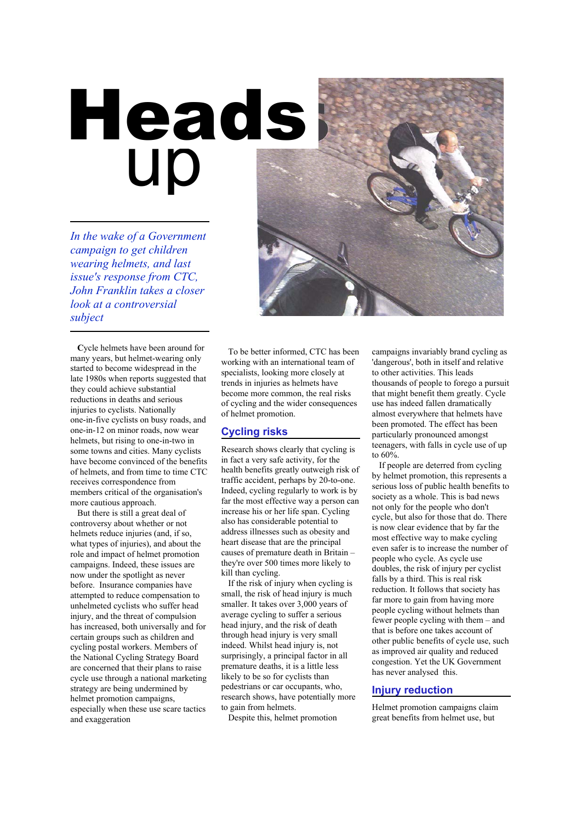# up Heads

*In the wake of a Government campaign to get children wearing helmets, and last issue's response from CTC, John Franklin takes a closer look at a controversial subject*



**C**ycle helmets have been around for many years, but helmet-wearing only started to become widespread in the late 1980s when reports suggested that they could achieve substantial reductions in deaths and serious injuries to cyclists. Nationally one-in-five cyclists on busy roads, and one-in-12 on minor roads, now wear helmets, but rising to one-in-two in some towns and cities. Many cyclists have become convinced of the benefits of helmets, and from time to time CTC receives correspondence from members critical of the organisation's more cautious approach.

But there is still a great deal of controversy about whether or not helmets reduce injuries (and, if so, what types of injuries), and about the role and impact of helmet promotion campaigns. Indeed, these issues are now under the spotlight as never before. Insurance companies have attempted to reduce compensation to unhelmeted cyclists who suffer head injury, and the threat of compulsion has increased, both universally and for certain groups such as children and cycling postal workers. Members of the National Cycling Strategy Board are concerned that their plans to raise cycle use through a national marketing strategy are being undermined by helmet promotion campaigns, especially when these use scare tactics and exaggeration

To be better informed, CTC has been working with an international team of specialists, looking more closely at trends in injuries as helmets have become more common, the real risks of cycling and the wider consequences of helmet promotion.

## **Cycling risks**

Research shows clearly that cycling is in fact a very safe activity, for the health benefits greatly outweigh risk of traffic accident, perhaps by 20-to-one. Indeed, cycling regularly to work is by far the most effective way a person can increase his or her life span. Cycling also has considerable potential to address illnesses such as obesity and heart disease that are the principal causes of premature death in Britain – they're over 500 times more likely to kill than cycling.

If the risk of injury when cycling is small, the risk of head injury is much smaller. It takes over 3,000 years of average cycling to suffer a serious head injury, and the risk of death through head injury is very small indeed. Whilst head injury is, not surprisingly, a principal factor in all premature deaths, it is a little less likely to be so for cyclists than pedestrians or car occupants, who, research shows, have potentially more to gain from helmets.

Despite this, helmet promotion

campaigns invariably brand cycling as 'dangerous', both in itself and relative to other activities. This leads thousands of people to forego a pursuit that might benefit them greatly. Cycle use has indeed fallen dramatically almost everywhere that helmets have been promoted. The effect has been particularly pronounced amongst teenagers, with falls in cycle use of up to 60%.

If people are deterred from cycling by helmet promotion, this represents a serious loss of public health benefits to society as a whole. This is bad news not only for the people who don't cycle, but also for those that do. There is now clear evidence that by far the most effective way to make cycling even safer is to increase the number of people who cycle. As cycle use doubles, the risk of injury per cyclist falls by a third. This is real risk reduction. It follows that society has far more to gain from having more people cycling without helmets than fewer people cycling with them – and that is before one takes account of other public benefits of cycle use, such as improved air quality and reduced congestion. Yet the UK Government has never analysed this.

# **Injury reduction**

Helmet promotion campaigns claim great benefits from helmet use, but